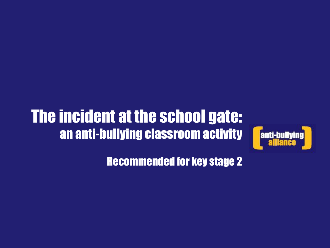### The incident at the school gate: an anti-bullying classroom activity



Recommended for key stage 2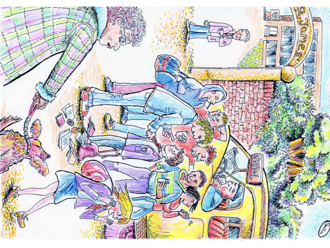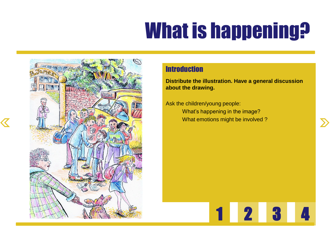# What is happening?



### **Introduction**

**Distribute the illustration. Have a general discussion about the drawing.** 

Ask the children/young people: What's happening in the image? What emotions might be involved ?

# 1 2 3 4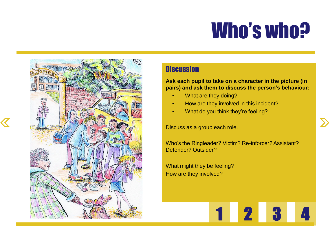# Who's who?



#### **Discussion**

**Ask each pupil to take on a character in the picture (in pairs) and ask them to discuss the person's behaviour:** 

- What are they doing?
- How are they involved in this incident?
- What do you think they're feeling?

Discuss as a group each role.

Who's the Ringleader? Victim? Re-inforcer? Assistant? Defender? Outsider?

What might they be feeling? How are they involved?

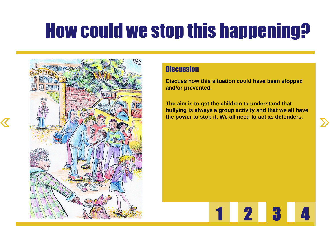## How could we stop this happening?



#### **Discussion**

**Discuss how this situation could have been stopped and/or prevented.** 

**The aim is to get the children to understand that bullying is always a group activity and that we all have the power to stop it. We all need to act as defenders.** 

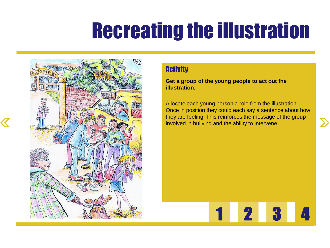# Recreating the illustration



### **Activity**

**Get a group of the young people to act out the illustration.** 

Allocate each young person a role from the illustration. Once in position they could each say a sentence about how they are feeling. This reinforces the message of the group involved in bullying and the ability to intervene.

2 3